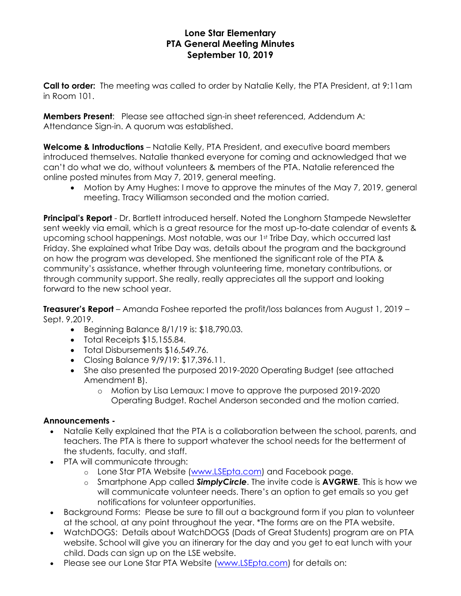## **Lone Star Elementary PTA General Meeting Minutes September 10, 2019**

**Call to order:** The meeting was called to order by Natalie Kelly, the PTA President, at 9:11am in Room 101.

**Members Present**: Please see attached sign-in sheet referenced, Addendum A: Attendance Sign-in. A quorum was established.

**Welcome & Introductions** – Natalie Kelly, PTA President, and executive board members introduced themselves. Natalie thanked everyone for coming and acknowledged that we can't do what we do, without volunteers & members of the PTA. Natalie referenced the online posted minutes from May 7, 2019, general meeting.

• Motion by Amy Hughes: I move to approve the minutes of the May 7, 2019, general meeting. Tracy Williamson seconded and the motion carried.

**Principal's Report** - Dr. Bartlett introduced herself. Noted the Longhorn Stampede Newsletter sent weekly via email, which is a great resource for the most up-to-date calendar of events & upcoming school happenings. Most notable, was our 1st Tribe Day, which occurred last Friday. She explained what Tribe Day was, details about the program and the background on how the program was developed. She mentioned the significant role of the PTA & community's assistance, whether through volunteering time, monetary contributions, or through community support. She really, really appreciates all the support and looking forward to the new school year.

**Treasurer's Report** – Amanda Foshee reported the profit/loss balances from August 1, 2019 – Sept. 9,2019.

- Beginning Balance 8/1/19 is: \$18,790.03.
- Total Receipts \$15,155.84.
- Total Disbursements \$16,549.76.
- Closing Balance 9/9/19: \$17,396.11.
- She also presented the purposed 2019-2020 Operating Budget (see attached Amendment B).
	- o Motion by Lisa Lemaux: I move to approve the purposed 2019-2020 Operating Budget. Rachel Anderson seconded and the motion carried.

## **Announcements -**

- Natalie Kelly explained that the PTA is a collaboration between the school, parents, and teachers. The PTA is there to support whatever the school needs for the betterment of the students, faculty, and staff.
- PTA will communicate through:
	- o Lone Star PTA Website [\(www.LSEpta.com\)](http://www.lsepta.com/) and Facebook page.
	- o Smartphone App called *SimplyCircle*. The invite code is **AVGRWE**. This is how we will communicate volunteer needs. There's an option to get emails so you get notifications for volunteer opportunities.
- Background Forms: Please be sure to fill out a background form if you plan to volunteer at the school, at any point throughout the year. \*The forms are on the PTA website.
- WatchDOGS: Details about WatchDOGS (Dads of Great Students) program are on PTA website. School will give you an itinerary for the day and you get to eat lunch with your child. Dads can sign up on the LSE website.
- Please see our Lone Star PTA Website [\(www.LSEpta.com\)](http://www.lsepta.com/) for details on: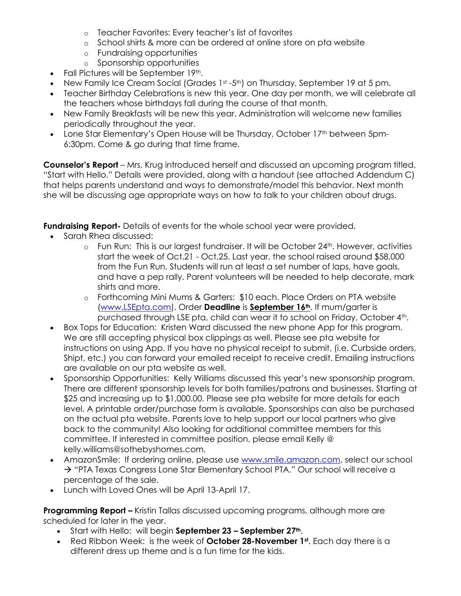- o Teacher Favorites: Every teacher's list of favorites
- o School shirts & more can be ordered at online store on pta website
- o Fundraising opportunities
- o Sponsorship opportunities
- Fall Pictures will be September 19th.
- New Family Ice Cream Social (Grades 1st -5th) on Thursday, September 19 at 5 pm.
- Teacher Birthday Celebrations is new this year. One day per month, we will celebrate all the teachers whose birthdays fall during the course of that month.
- New Family Breakfasts will be new this year. Administration will welcome new families periodically throughout the year.
- Lone Star Elementary's Open House will be Thursday, October 17<sup>th</sup> between 5pm-6:30pm. Come & go during that time frame.

**Counselor's Report** – Mrs. Krug introduced herself and discussed an upcoming program titled, "Start with Hello." Details were provided, along with a handout (see attached Addendum C) that helps parents understand and ways to demonstrate/model this behavior. Next month she will be discussing age appropriate ways on how to talk to your children about drugs.

**Fundraising Report-** Details of events for the whole school year were provided.

- Sarah Rhea discussed:
	- $\circ$  Fun Run: This is our largest fundraiser. It will be October 24th. However, activities start the week of Oct.21 - Oct.25. Last year, the school raised around \$58,000 from the Fun Run. Students will run at least a set number of laps, have goals, and have a pep rally. Parent volunteers will be needed to help decorate, mark shirts and more.
	- o Forthcoming Mini Mums & Garters: \$10 each. Place Orders on PTA website [\(www.LSEpta.com\)](http://www.lsepta.com/). Order **Deadline** is **September 16th**. If mum/garter is purchased through LSE pta, child can wear it to school on Friday, October 4th.
- Box Tops for Education: Kristen Ward discussed the new phone App for this program. We are still accepting physical box clippings as well. Please see pta website for instructions on using App. If you have no physical receipt to submit, (i.e. Curbside orders, Shipt, etc.) you can forward your emailed receipt to receive credit. Emailing instructions are available on our pta website as well.
- Sponsorship Opportunities: Kelly Williams discussed this year's new sponsorship program. There are different sponsorship levels for both families/patrons and businesses. Starting at \$25 and increasing up to \$1,000.00. Please see pta website for more details for each level. A printable order/purchase form is available. Sponsorships can also be purchased on the actual pta website. Parents love to help support our local partners who give back to the community! Also looking for additional committee members for this committee. If interested in committee position, please email Kelly @ kelly.williams@sothebyshomes.com.
- AmazonSmile: If ordering online, please use [www.smile.amazon.com,](http://www.smile.amazon.com/) select our school → "PTA Texas Congress Lone Star Elementary School PTA." Our school will receive a percentage of the sale.
- Lunch with Loved Ones will be April 13-April 17.

**Programming Report –** Kristin Tallas discussed upcoming programs, although more are scheduled for later in the year.

- Start with Hello: will begin **September 23 – September 27th**.
- Red Ribbon Week: is the week of **October 28-November 1st**. Each day there is a different dress up theme and is a fun time for the kids.